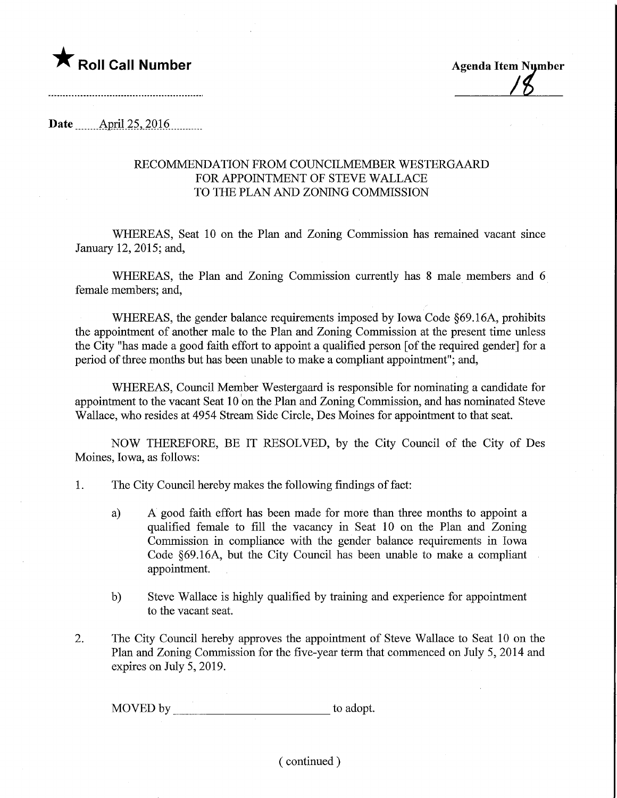

**Date** April 25, 2016

## RECOMMENDATION FROM COUNCILMEMBER WESTERGAARD FOR APPOINTMENT OF STEVE WALLACE TO THE PLAN AND ZONING COMMISSION

WHEREAS, Seat 10 on the Plan and Zoning Commission has remained vacant since January 12, 2015; and,

WHEREAS, the Plan and Zoning Commission currently has 8 male members and 6 female members; and,

WHEREAS, the gender balance requirements imposed by Iowa Code §69.16A, prohibits the appointment of another male to the Plan and Zoning Commission at the present time unless the City "has made a good faith effort to appoint a qualified person [of the required gender] for a period of three months but has been unable to make a compliant appointment"; and,

WHEREAS, Council Member Westergaard is responsible for nominating a candidate for appointment to the vacant Seat 10 on the Plan and Zoning Commission, and has nominated Steve Wallace, who resides at 4954 Stream Side Circle, Des Moines for appointment to that seat.

NOW THEREFORE, BE IT RESOLVED, by the City Council of the City of Des Moines, Iowa, as follows:

- 1. The City Council hereby makes the following findings of fact:
	- a) A good faith effort has been made for more than three months to appoint a qualified female to fill the vacancy in Seat 10 on the Plan and Zoning Commission in compliance with the gender balance requirements in Iowa Code §69.16A, but the City Council has been unable to make a compliant appointment.
	- b) Steve Wallace is highly qualified by training and experience for appointment to the vacant seat.
- 2. The City Council hereby approves the appointment of Steve Wallace to Seat 10 on the Plan and Zoning Commission for the five-year term that commenced on July 5, 2014 and expires on July 5, 2019.

MOVED by to adopt.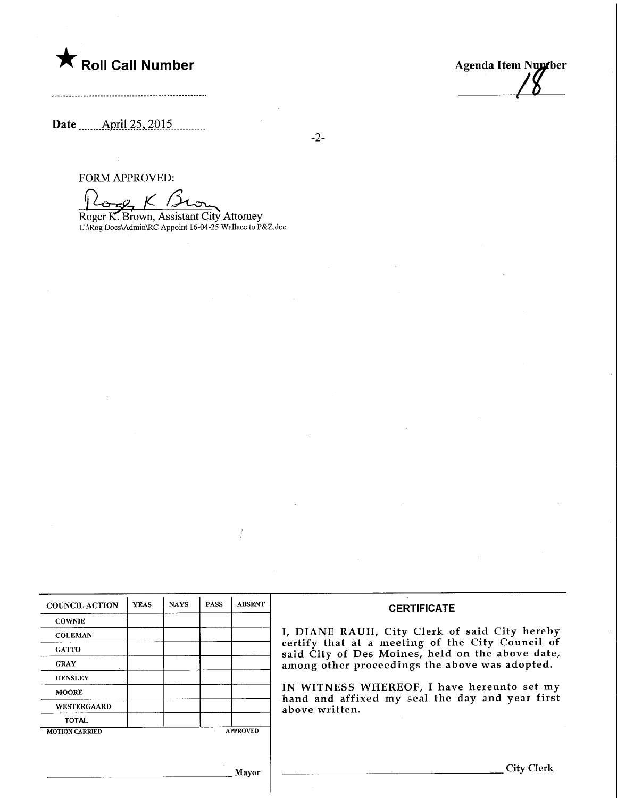

Agenda Item Nundber

Date <u>April 25, 2015</u>

-2-

FORM APPROVED:

 $16gK$ 

Roger K. Brown, Assistant City Attorney U:\Rog DocsVAdminVRC Appoint 16-04-25 Wallace to P&Z.doc

| <b>COUNCIL ACTION</b> | <b>YEAS</b> | <b>NAYS</b> | <b>PASS</b> | <b>ABSENT</b>   | <b>CERTIFICATE</b>                                                                                   |
|-----------------------|-------------|-------------|-------------|-----------------|------------------------------------------------------------------------------------------------------|
| <b>COWNIE</b>         |             |             |             |                 |                                                                                                      |
| <b>COLEMAN</b>        |             |             |             |                 | I, DIANE RAUH, City Clerk of said City hereby                                                        |
| <b>GATTO</b>          |             |             |             |                 | certify that at a meeting of the City Council of<br>said City of Des Moines, held on the above date, |
| <b>GRAY</b>           |             |             |             |                 | among other proceedings the above was adopted.                                                       |
| <b>HENSLEY</b>        |             |             |             |                 |                                                                                                      |
| <b>MOORE</b>          |             |             |             |                 | IN WITNESS WHEREOF, I have hereunto set my<br>hand and affixed my seal the day and year first        |
| WESTERGAARD           |             |             |             |                 | above written.                                                                                       |
| <b>TOTAL</b>          |             |             |             |                 |                                                                                                      |
| <b>MOTION CARRIED</b> |             |             |             | <b>APPROVED</b> |                                                                                                      |

Mayor

City Clerk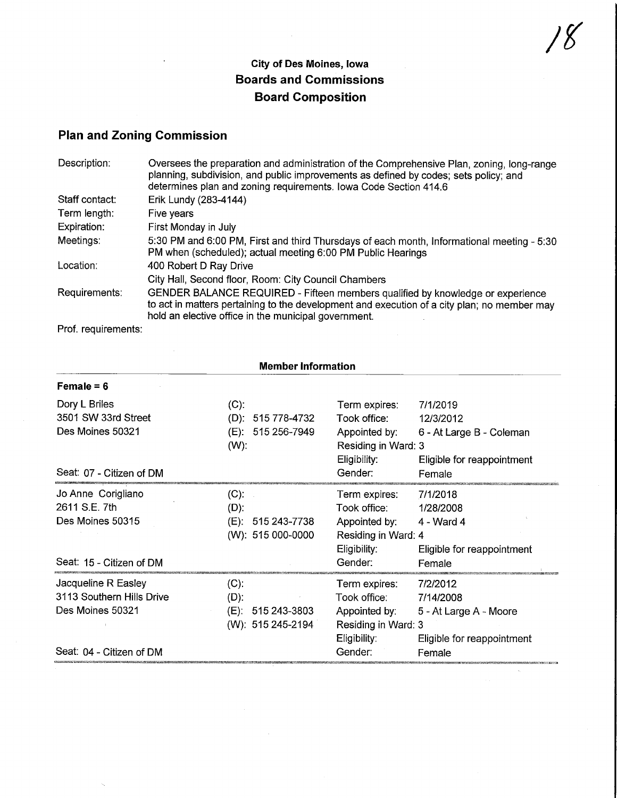## City of Des Moines, Iowa Boards and Commissions Board Composition

## Plan and Zoning Commission

| Description:   | Oversees the preparation and administration of the Comprehensive Plan, zoning, long-range<br>planning, subdivision, and public improvements as defined by codes; sets policy; and<br>determines plan and zoning requirements. Iowa Code Section 414.6 |  |  |  |
|----------------|-------------------------------------------------------------------------------------------------------------------------------------------------------------------------------------------------------------------------------------------------------|--|--|--|
| Staff contact: | Erik Lundy (283-4144)                                                                                                                                                                                                                                 |  |  |  |
| Term length:   | Five years                                                                                                                                                                                                                                            |  |  |  |
| Expiration:    | First Monday in July                                                                                                                                                                                                                                  |  |  |  |
| Meetings:      | 5:30 PM and 6:00 PM, First and third Thursdays of each month, Informational meeting - 5:30<br>PM when (scheduled); actual meeting 6:00 PM Public Hearings                                                                                             |  |  |  |
| Location:      | 400 Robert D Ray Drive                                                                                                                                                                                                                                |  |  |  |
|                | City Hall, Second floor, Room: City Council Chambers                                                                                                                                                                                                  |  |  |  |
| Requirements:  | GENDER BALANCE REQUIRED - Fifteen members qualified by knowledge or experience<br>to act in matters pertaining to the development and execution of a city plan; no member may<br>hold an elective office in the municipal government.                 |  |  |  |

Prof. requirements:

| <b>Member Information</b>                                            |                                                                 |                                                                                                                                                                        |  |  |  |
|----------------------------------------------------------------------|-----------------------------------------------------------------|------------------------------------------------------------------------------------------------------------------------------------------------------------------------|--|--|--|
| Female $= 6$                                                         |                                                                 |                                                                                                                                                                        |  |  |  |
| Dory L Briles<br>3501 SW 33rd Street                                 | (C).                                                            | Term expires:<br>7/1/2019                                                                                                                                              |  |  |  |
| Des Moines 50321                                                     | $(D): 515778-4732$<br>(E): 515 256-7949<br>$(W)$ :              | Took office:<br>12/3/2012<br>Appointed by: 6 - At Large B - Coleman<br>Residing in Ward: 3<br>Eligibility:                                                             |  |  |  |
| Seat: 07 - Citizen of DM                                             |                                                                 | Eligible for reappointment<br>Gender:<br>Female                                                                                                                        |  |  |  |
| Jo Anne Corigliano<br>2611 S.E. 7th                                  | $(C)$ :<br>$(D)$ :                                              | 7/1/2018<br>Term expires:<br>Took office:<br>1/28/2008                                                                                                                 |  |  |  |
| Des Moines 50315                                                     | 515 243-7738<br>(E):<br>(W): 515 000-0000                       | Appointed by:<br>4 - Ward 4<br>Residing in Ward: 4                                                                                                                     |  |  |  |
| Seat: 15 - Citizen of DM                                             |                                                                 | Eligibility:<br>Eligible for reappointment<br>Gender:<br>Female                                                                                                        |  |  |  |
| Jacqueline R Easley<br>3113 Southern Hills Drive<br>Des Moines 50321 | $(C)$ :<br>$(D)$ :<br>$(E)$ : 515 243-3803<br>(W): 515 245-2194 | 7/2/2012<br>Term expires:<br>Took office:<br>7/14/2008<br>Appointed by:<br>5 - At Large A - Moore<br>Residing in Ward: 3<br>Eligibility:<br>Eligible for reappointment |  |  |  |
| Seat: 04 - Citizen of DM                                             |                                                                 | Gender:<br>Female                                                                                                                                                      |  |  |  |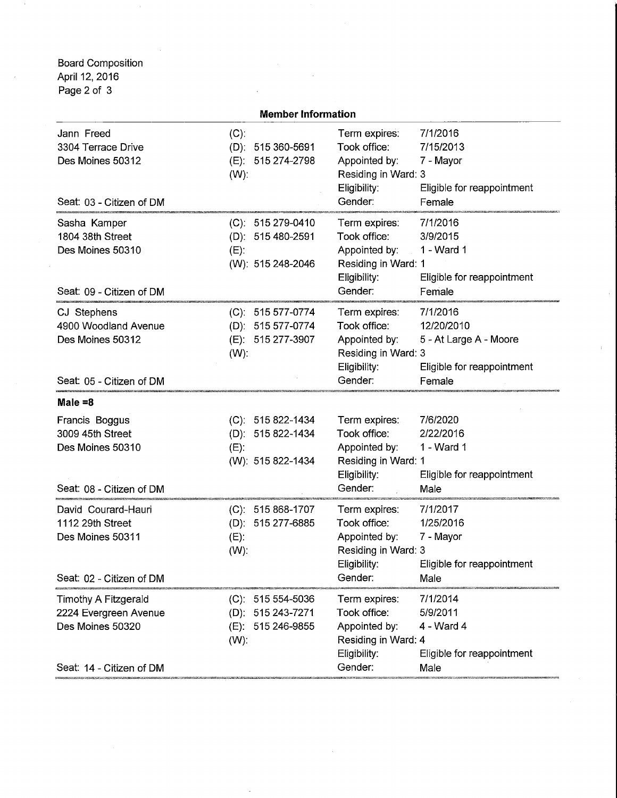Board Composition April 12, 2016 Page 2 of 3

|                                                                                         | <b>Member Information</b>                                                          |                                                                                                  |                                                                                          |
|-----------------------------------------------------------------------------------------|------------------------------------------------------------------------------------|--------------------------------------------------------------------------------------------------|------------------------------------------------------------------------------------------|
| Jann Freed<br>3304 Terrace Drive<br>Des Moines 50312<br>Seat: 03 - Citizen of DM        | $(C)$ :<br>$(D)$ : 515 360-5691<br>(E): 515 274-2798<br>$(W)$ :                    | Term expires:<br>Took office:<br>Appointed by:<br>Residing in Ward: 3<br>Eligibility:<br>Gender: | 7/1/2016<br>7/15/2013<br>7 - Mayor<br>Eligible for reappointment<br>Female               |
| Sasha Kamper<br>1804 38th Street<br>Des Moines 50310<br>Seat: 09 - Citizen of DM        | $(C)$ : 515 279-0410<br>(D): 515 480-2591<br>$(E)$ :<br>(W): 515 248-2046          | Term expires:<br>Took office:<br>Appointed by:<br>Residing in Ward: 1<br>Eligibility:<br>Gender: | 7/1/2016<br>3/9/2015<br>1 - Ward 1<br>Eligible for reappointment<br>Female               |
| CJ Stephens<br>4900 Woodland Avenue<br>Des Moines 50312<br>Seat: 05 - Citizen of DM     | (C): 515 577-0774<br>(D): 515 577-0774<br>(E): 515 277-3907<br>$(W)$ :             | Term expires:<br>Took office:<br>Appointed by:<br>Residing in Ward: 3<br>Eligibility:<br>Gender: | 7/1/2016<br>12/20/2010<br>5 - At Large A - Moore<br>Eligible for reappointment<br>Female |
| Male $=8$                                                                               |                                                                                    |                                                                                                  |                                                                                          |
| Francis Boggus<br>3009 45th Street<br>Des Moines 50310<br>Seat: 08 - Citizen of DM      | $(C): 515822 - 1434$<br>(D): 515 822-1434<br>$(E)$ :<br>(W): 515 822-1434          | Term expires:<br>Took office:<br>Appointed by:<br>Residing in Ward: 1<br>Eligibility:<br>Gender: | 7/6/2020<br>2/22/2016<br>1 - Ward 1<br>Eligible for reappointment<br>Male                |
| David Courard-Hauri<br>1112 29th Street<br>Des Moines 50311<br>Seat: 02 - Citizen of DM | $(C): 515868-1707$<br>(D): 515 277-6885<br>$(E)$ :<br>$(W)$ :                      | Term expires:<br>Took office:<br>Appointed by:<br>Residing in Ward: 3<br>Eligibility:<br>Gender: | 7/1/2017<br>1/25/2016<br>7 - Mayor<br>Eligible for reappointment<br>Male                 |
| Timothy A Fitzgerald<br>2224 Evergreen Avenue<br>Des Moines 50320                       | $(C): 515554 - 5036$<br>515 243-7271<br>$(D)$ :<br>515 246-9855<br>(E).<br>$(W)$ : | Term expires:<br>Took office:<br>Appointed by:<br>Residing in Ward: 4<br>Eligibility:<br>Gender: | 7/1/2014<br>5/9/2011<br>4 - Ward 4<br>Eligible for reappointment<br>Male                 |
| Seat: 14 - Citizen of DM                                                                |                                                                                    |                                                                                                  |                                                                                          |

 $\overline{\phantom{a}}$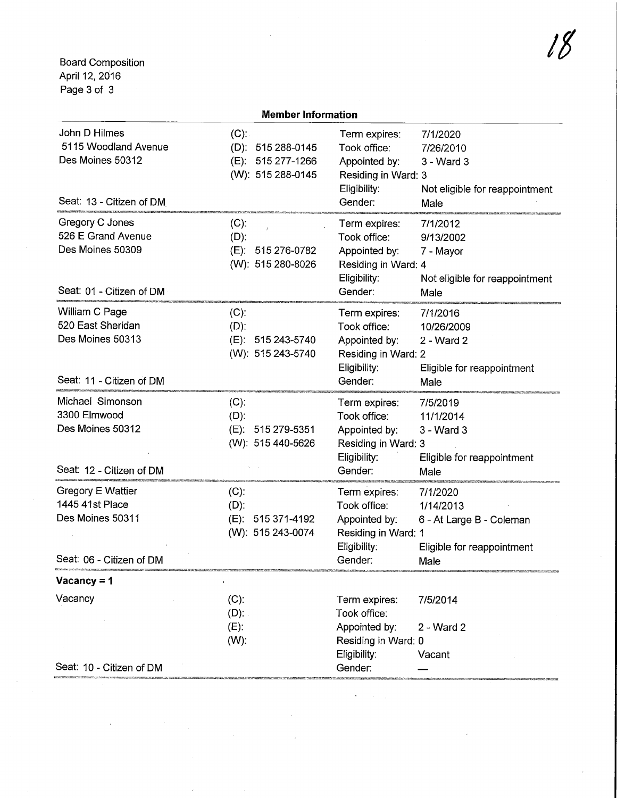Board Composition April 12, 2016 Page 3 of 3

| <b>Member Information</b>                                                                   |                                                                           |                                                                                                  |                                                                                         |  |  |
|---------------------------------------------------------------------------------------------|---------------------------------------------------------------------------|--------------------------------------------------------------------------------------------------|-----------------------------------------------------------------------------------------|--|--|
| John D Hilmes<br>5115 Woodland Avenue<br>Des Moines 50312<br>Seat: 13 - Citizen of DM       | $(C)$ :<br>$(D)$ : 515 288-0145<br>(E): 515 277-1266<br>(W): 515 288-0145 | Term expires:<br>Took office:<br>Appointed by:<br>Residing in Ward: 3<br>Eligibility:<br>Gender: | 7/1/2020<br>7/26/2010<br>$3 - Ward3$<br>Not eligible for reappointment<br>Male          |  |  |
| Gregory C Jones<br>526 E Grand Avenue<br>Des Moines 50309<br>Seat: 01 - Citizen of DM       | $(C)$ :<br>$(D)$ :<br>(E): 515 276-0782<br>(W): 515 280-8026              | Term expires:<br>Took office:<br>Appointed by:<br>Residing in Ward: 4<br>Eligibility:<br>Gender: | 7/1/2012<br>9/13/2002<br>7 - Mayor<br>Not eligible for reappointment<br>Male            |  |  |
| William C Page<br>520 East Sheridan<br>Des Moines 50313<br>Seat: 11 - Citizen of DM         | $(C)$ :<br>$(D)$ :<br>(E): 515 243-5740<br>(W): 515 243-5740              | Term expires:<br>Took office:<br>Appointed by:<br>Residing in Ward: 2<br>Eligibility:<br>Gender: | 7/1/2016<br>10/26/2009<br>2 - Ward 2<br>Eligible for reappointment<br>Male              |  |  |
| Michael Simonson<br>3300 Elmwood<br>Des Moines 50312<br>Seat: 12 - Citizen of DM            | $(C)$ :<br>$(D)$ :<br>(E): 515 279-5351<br>(W): 515 440-5626              | Term expires:<br>Took office:<br>Appointed by:<br>Residing in Ward: 3<br>Eligibility:<br>Gender: | 7/5/2019<br>11/1/2014<br>3 - Ward 3<br>Eligible for reappointment<br>Male               |  |  |
| <b>Gregory E Wattier</b><br>1445 41st Place<br>Des Moines 50311<br>Seat: 06 - Citizen of DM | $(C)$ :<br>$(D)$ :<br>(E): 515 371-4192<br>(W): 515 243-0074              | Term expires:<br>Took office:<br>Appointed by:<br>Residing in Ward: 1<br>Eligibility:<br>Gender: | 7/1/2020<br>1/14/2013<br>6 - At Large B - Coleman<br>Eligible for reappointment<br>Male |  |  |
| Vacancy = $1$                                                                               |                                                                           |                                                                                                  |                                                                                         |  |  |
| Vacancy<br>Seat: 10 - Citizen of DM                                                         | $(C)$ :<br>$(D)$ :<br>$(E)$ :<br>$(W)$ :                                  | Term expires:<br>Took office:<br>Appointed by:<br>Residing in Ward: 0<br>Eligibility:<br>Gender: | 7/5/2014<br>2 - Ward 2<br>Vacant                                                        |  |  |

 $\sim$ 

 $\ddot{\phantom{0}}$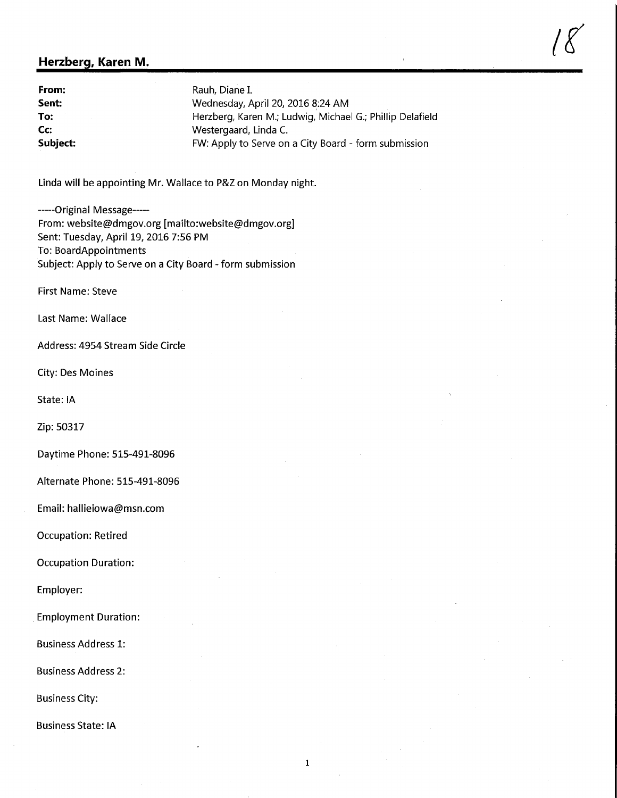## Herzberg, Karen M.

**From:** Rauh, Diane I.<br> **Sent:** Wednesday, A Sent: Sent: Wednesday, April 20, 2016 8:24 AM<br>To: Sentime Microsoft Herzberg, Karen M.; Ludwig, Michae Herzberg, Karen M.; Ludwig, Michael G.; Phillip Delafield **Cc:** Westergaard, Linda C.<br> **Subject:** FW: Apply to Serve on FW: Apply to Serve on a City Board - form submission

 $/8$ 

Linda will be appointing Mr. Wallace to P&Z on Monday night.

-----Original Message-----From: website@dmgov.org [mailto:website@dmgov.org] Sent: Tuesday, April 19, 2016 7:56 PM To: BoardAppointments Subject: Apply to Serve on a City Board - form submission

First Name: Steve

Last Name: Wallace

Address: 4954 Stream Side Circle

City: Des Moines

State: IA

Zip: 50317

Daytime Phone: 515-491-8096

Alternate Phone: 515-491-8096

Email: hallieiowa@msn.com

Occupation: Retired

Occupation Duration:

Employer:

Employment Duration:

Business Address 1:

Business Address 2:

Business City:

Business State: IA